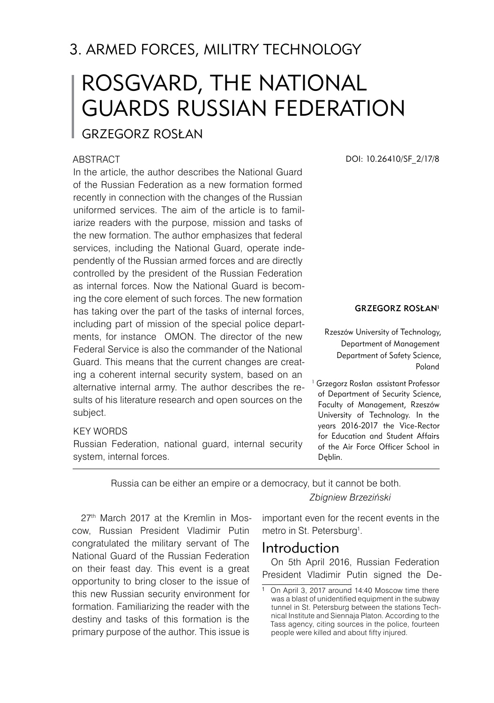# 3. ARMED FORCES, MILITRY TECHNOLOGY

# ROSGVARD, THE NATIONAL GUARDS RUSSIAN FEDERATION

## Grzegorz ROSŁAN

#### **ABSTRACT**

In the article, the author describes the National Guard of the Russian Federation as a new formation formed recently in connection with the changes of the Russian uniformed services. The aim of the article is to familiarize readers with the purpose, mission and tasks of the new formation. The author emphasizes that federal services, including the National Guard, operate independently of the Russian armed forces and are directly controlled by the president of the Russian Federation as internal forces. Now the National Guard is becoming the core element of such forces. The new formation has taking over the part of the tasks of internal forces, including part of mission of the special police departments, for instance OMON. The director of the new Federal Service is also the commander of the National Guard. This means that the current changes are creating a coherent internal security system, based on an alternative internal army. The author describes the results of his literature research and open sources on the subject.

#### KEY WORDS

Russian Federation, national guard, internal security system, internal forces.

Russia can be either an empire or a democracy, but it cannot be both.

27th March 2017 at the Kremlin in Moscow, Russian President Vladimir Putin congratulated the military servant of The National Guard of the Russian Federation on their feast day. This event is a great opportunity to bring closer to the issue of this new Russian security environment for formation. Familiarizing the reader with the destiny and tasks of this formation is the primary purpose of the author. This issue is

DOI: 10.26410/SF\_2/17/8

#### Grzegorz ROSŁAN<sup>1</sup>

Rzeszów University of Technology, Department of Management Department of Safety Science, Poland

<sup>1</sup> Grzegorz Rosłan assistant Professor of Department of Security Science, Faculty of Management, Rzeszów University of Technology. In the years 2016-2017 the Vice-Rector for Education and Student Affairs of the Air Force Officer School in Dęblin.

*Zbigniew Brzeziński*

important even for the recent events in the metro in St. Petersburg<sup>1</sup>.

## Introduction

On 5th April 2016, Russian Federation President Vladimir Putin signed the De-

 On April 3, 2017 around 14:40 Moscow time there was a blast of unidentified equipment in the subway tunnel in St. Petersburg between the stations Technical Institute and Siennaja Platon. According to the Tass agency, citing sources in the police, fourteen people were killed and about fifty injured.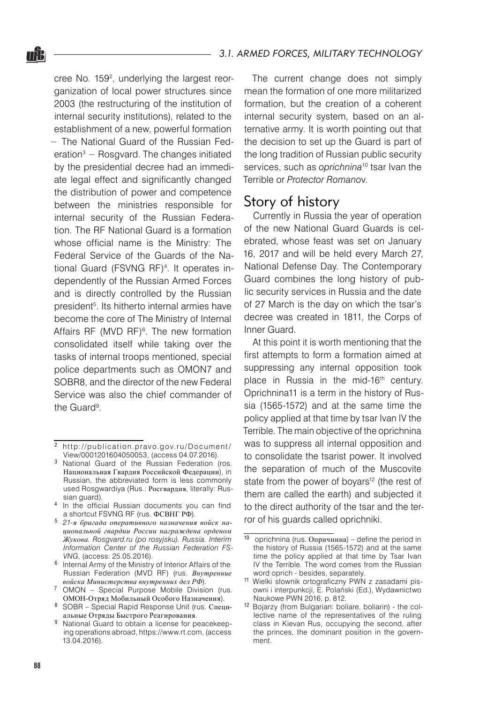cree No. 159<sup>2</sup>, underlying the largest reorganization of local power structures since 2003 (the restructuring of the institution of internal security institutions), related to the establishment of a new, powerful formation − The National Guard of the Russian Federation<sup>3</sup> − Rosgvard. The changes initiated by the presidential decree had an immediate legal effect and significantly changed the distribution of power and competence between the ministries responsible for internal security of the Russian Federation. The RF National Guard is a formation whose official name is the Ministry: The Federal Service of the Guards of the National Guard (FSVNG RF)4 . It operates independently of the Russian Armed Forces and is directly controlled by the Russian president5 . Its hitherto internal armies have become the core of The Ministry of Internal Affairs RF (MVD RF)<sup>6</sup>. The new formation consolidated itself while taking over the tasks of internal troops mentioned, special police departments such as OMON7 and SOBR8, and the director of the new Federal Service was also the chief commander of the Guard<sup>9</sup>.

The current change does not simply mean the formation of one more militarized formation, but the creation of a coherent internal security system, based on an alternative army. It is worth pointing out that the decision to set up the Guard is part of the long tradition of Russian public security services, such as *oprichnina*10 tsar Ivan the Terrible or *Protector Romano*v.

## Story of history

Currently in Russia the year of operation of the new National Guard Guards is celebrated, whose feast was set on January 16, 2017 and will be held every March 27, National Defense Day. The Contemporary Guard combines the long history of public security services in Russia and the date of 27 March is the day on which the tsar's decree was created in 1811, the Corps of Inner Guard.

At this point it is worth mentioning that the first attempts to form a formation aimed at suppressing any internal opposition took place in Russia in the mid-16<sup>th</sup> century. Oprichnina11 is a term in the history of Russia (1565-1572) and at the same time the policy applied at that time by tsar Ivan IV the Terrible. The main objective of the oprichnina was to suppress all internal opposition and to consolidate the tsarist power. It involved the separation of much of the Muscovite state from the power of boyars<sup>12</sup> (the rest of them are called the earth) and subjected it to the direct authority of the tsar and the terror of his guards called oprichniki.

nŜ.

http://publication.pravo.gov.ru/Document/ View/0001201604050053, (access 04.07.2016).

<sup>&</sup>lt;sup>3</sup> National Guard of the Russian Federation (ros. Национальная Гвардия Российской Федерации), in Russian, the abbreviated form is less commonly used Rosgwardiya (Rus.: Росгвардия, literally: Russian guard).

<sup>&</sup>lt;sup>4</sup> In the official Russian documents you can find a shortcut FSVNG RF (rus. ФСВНГ РФ).

*21-я бригада оперативного назначения войск национальной гвардии России награждена орденом Жукова. Rosgvard.ru (po rosyjsku). Russia. Interim Information Center of the Russian Federation FS-VNG*, (access: 25.05.2016).

 $6$  Internal Army of the Ministry of Interior Affairs of the Russian Federation (MVD RF) (rus. *Внутренние войска Министерства внутренних дел РФ*).

OMON – Special Purpose Mobile Division (rus. ОМОН-Отряд Мобильный Особого Назначения).

SOBR – Special Rapid Response Unit (rus. Специальные Отряды Быстрого Реагирования.

<sup>&</sup>lt;sup>9</sup> National Guard to obtain a license for peacekeeping operations abroad, https://www.rt.com, (access 13.04.2016).

 $10$  oprichnina (rus. Опричнина) – define the period in the history of Russia (1565-1572) and at the same time the policy applied at that time by Tsar Ivan IV the Terrible. The word comes from the Russian word oprich - besides, separately.

<sup>11</sup> Wielki słownik ortograficzny PWN z zasadami pisowni i interpunkcji, E. Polański (Ed.), Wydawnictwo Naukowe PWN 2016, p. 812.

<sup>12</sup> Bojarzy (from Bulgarian: boliare, boliarin) - the collective name of the representatives of the ruling class in Kievan Rus, occupying the second, after the princes, the dominant position in the government.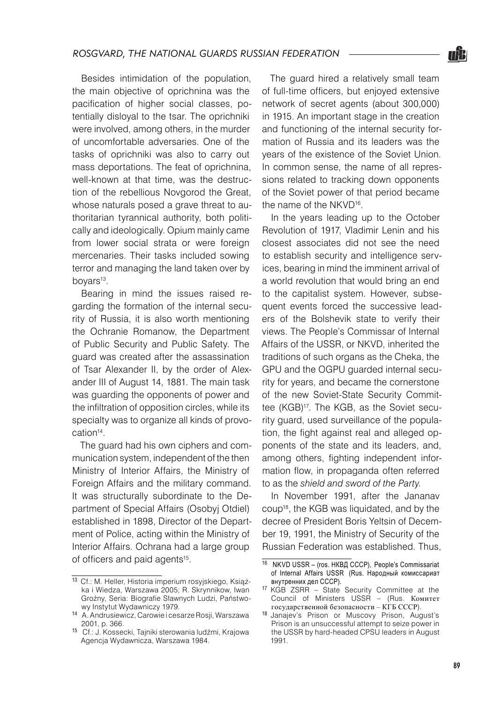Besides intimidation of the population, the main objective of oprichnina was the pacification of higher social classes, potentially disloyal to the tsar. The oprichniki were involved, among others, in the murder of uncomfortable adversaries. One of the tasks of oprichniki was also to carry out mass deportations. The feat of oprichnina, well-known at that time, was the destruction of the rebellious Novgorod the Great, whose naturals posed a grave threat to authoritarian tyrannical authority, both politically and ideologically. Opium mainly came from lower social strata or were foreign mercenaries. Their tasks included sowing terror and managing the land taken over by boyars<sup>13</sup>.

Bearing in mind the issues raised regarding the formation of the internal security of Russia, it is also worth mentioning the Ochranie Romanow, the Department of Public Security and Public Safety. The guard was created after the assassination of Tsar Alexander II, by the order of Alexander III of August 14, 1881. The main task was guarding the opponents of power and the infiltration of opposition circles, while its specialty was to organize all kinds of provocation<sup>14</sup>.

The guard had his own ciphers and communication system, independent of the then Ministry of Interior Affairs, the Ministry of Foreign Affairs and the military command. It was structurally subordinate to the Department of Special Affairs (Osobyj Otdiel) established in 1898, Director of the Department of Police, acting within the Ministry of Interior Affairs. Ochrana had a large group of officers and paid agents<sup>15</sup>.

The guard hired a relatively small team of full-time officers, but enjoyed extensive network of secret agents (about 300,000) in 1915. An important stage in the creation and functioning of the internal security formation of Russia and its leaders was the years of the existence of the Soviet Union. In common sense, the name of all repressions related to tracking down opponents of the Soviet power of that period became the name of the NKVD16.

In the years leading up to the October Revolution of 1917, Vladimir Lenin and his closest associates did not see the need to establish security and intelligence services, bearing in mind the imminent arrival of a world revolution that would bring an end to the capitalist system. However, subsequent events forced the successive leaders of the Bolshevik state to verify their views. The People's Commissar of Internal Affairs of the USSR, or NKVD, inherited the traditions of such organs as the Cheka, the GPU and the OGPU guarded internal security for years, and became the cornerstone of the new Soviet-State Security Committee (KGB)17. The KGB, as the Soviet security guard, used surveillance of the population, the fight against real and alleged opponents of the state and its leaders, and, among others, fighting independent information flow, in propaganda often referred to as the *shield and sword of the Party.*

In November 1991, after the Jananav coup18, the KGB was liquidated, and by the decree of President Boris Yeltsin of December 19, 1991, the Ministry of Security of the Russian Federation was established. Thus,



<sup>13</sup> Cf.: M. Heller, Historia imperium rosyjskiego, Książka i Wiedza, Warszawa 2005; R. Skrynnikow, Iwan Groźny, Seria: Biografie Sławnych Ludzi, Państwowy Instytut Wydawniczy 1979.

<sup>14</sup> A. Andrusiewicz, Carowie i cesarze Rosji, Warszawa 2001, p. 366.

<sup>15</sup> Cf.: J. Kossecki, Tajniki sterowania ludźmi, Krajowa Agencja Wydawnicza, Warszawa 1984.

<sup>16</sup> NKVD USSR – (ros. НКВД СССР), People's Commissariat of Internal Affairs USSR (Rus. Народный комиссариат внутренних дел CCCP).

<sup>17</sup> KGB ZSRR – State Security Committee at the Council of Ministers USSR – (Rus. Комитет государственной безопасности – КГБ СССР).

<sup>18</sup> Janajev's Prison or Muscovy Prison, August's Prison is an unsuccessful attempt to seize power in the USSR by hard-headed CPSU leaders in August 1991.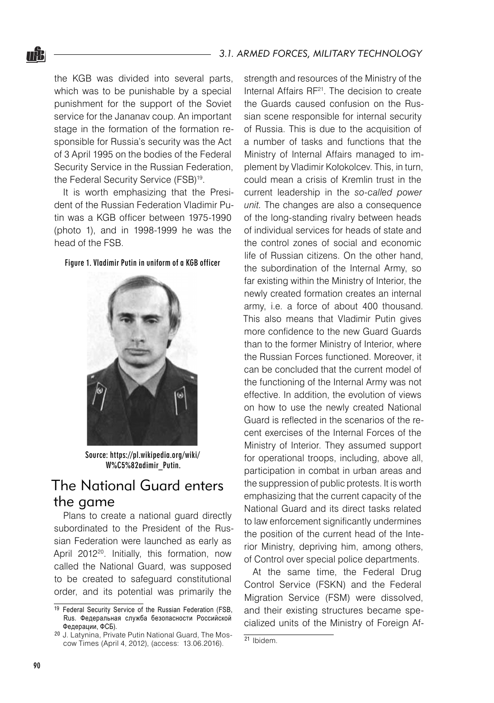the KGB was divided into several parts, which was to be punishable by a special punishment for the support of the Soviet service for the Jananav coup. An important stage in the formation of the formation responsible for Russia's security was the Act of 3 April 1995 on the bodies of the Federal Security Service in the Russian Federation, the Federal Security Service (FSB)<sup>19</sup>.

nŜ.

It is worth emphasizing that the President of the Russian Federation Vladimir Putin was a KGB officer between 1975-1990 (photo 1), and in 1998-1999 he was the head of the FSB.

#### Figure 1. Vladimir Putin in uniform of a KGB officer



Source: https://pl.wikipedia.org/wiki/ W%C5%82adimir\_Putin.

## The National Guard enters the game

Plans to create a national guard directly subordinated to the President of the Russian Federation were launched as early as April 2012<sup>20</sup>. Initially, this formation, now called the National Guard, was supposed to be created to safeguard constitutional order, and its potential was primarily the

strength and resources of the Ministry of the Internal Affairs RF<sup>21</sup>. The decision to create the Guards caused confusion on the Russian scene responsible for internal security of Russia. This is due to the acquisition of a number of tasks and functions that the Ministry of Internal Affairs managed to implement by Vladimir Kołokolcev. This, in turn, could mean a crisis of Kremlin trust in the current leadership in the *so-called power unit.* The changes are also a consequence of the long-standing rivalry between heads of individual services for heads of state and the control zones of social and economic life of Russian citizens. On the other hand, the subordination of the Internal Army, so far existing within the Ministry of Interior, the newly created formation creates an internal army, i.e. a force of about 400 thousand. This also means that Vladimir Putin gives more confidence to the new Guard Guards than to the former Ministry of Interior, where the Russian Forces functioned. Moreover, it can be concluded that the current model of the functioning of the Internal Army was not effective. In addition, the evolution of views on how to use the newly created National Guard is reflected in the scenarios of the recent exercises of the Internal Forces of the Ministry of Interior. They assumed support for operational troops, including, above all, participation in combat in urban areas and the suppression of public protests. It is worth emphasizing that the current capacity of the National Guard and its direct tasks related to law enforcement significantly undermines the position of the current head of the Interior Ministry, depriving him, among others, of Control over special police departments.

At the same time, the Federal Drug Control Service (FSKN) and the Federal Migration Service (FSM) were dissolved, and their existing structures became specialized units of the Ministry of Foreign Af-

<sup>&</sup>lt;sup>19</sup> Federal Security Service of the Russian Federation (FSB, Rus. Федеральная служба безопасности Российской Федерации, ФСБ).

<sup>20</sup> J. Latynina, Private Putin National Guard, The Moscow Times (April 4, 2012), (access: 13.06.2016).

<sup>21</sup> Ibidem.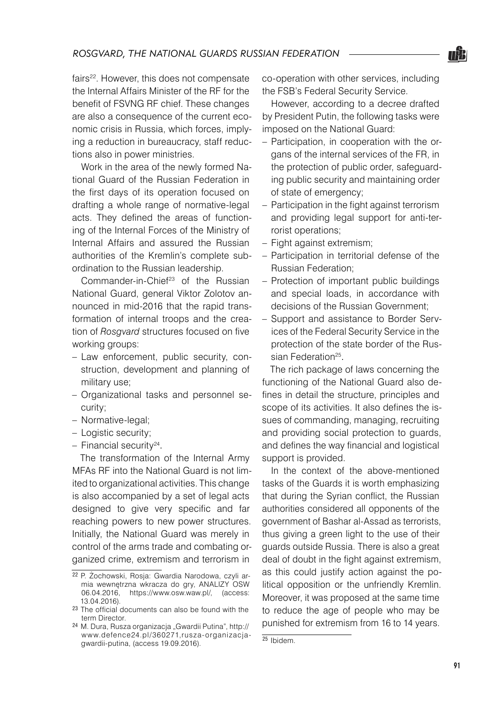fairs<sup>22</sup>. However, this does not compensate the Internal Affairs Minister of the RF for the benefit of FSVNG RF chief. These changes are also a consequence of the current economic crisis in Russia, which forces, implying a reduction in bureaucracy, staff reductions also in power ministries.

Work in the area of the newly formed National Guard of the Russian Federation in the first days of its operation focused on drafting a whole range of normative-legal acts. They defined the areas of functioning of the Internal Forces of the Ministry of Internal Affairs and assured the Russian authorities of the Kremlin's complete subordination to the Russian leadership.

Commander-in-Chief<sup>23</sup> of the Russian National Guard, general Viktor Zolotov announced in mid-2016 that the rapid transformation of internal troops and the creation of *Rosgvard* structures focused on five working groups:

- Law enforcement, public security, construction, development and planning of military use;
- Organizational tasks and personnel se-– curity;
- Normative-legal; –
- Logistic security;
- Financial security<sup>24</sup>.

The transformation of the Internal Army MFAs RF into the National Guard is not limited to organizational activities. This change is also accompanied by a set of legal acts designed to give very specific and far reaching powers to new power structures. Initially, the National Guard was merely in control of the arms trade and combating organized crime, extremism and terrorism in

co-operation with other services, including the FSB's Federal Security Service.

However, according to a decree drafted by President Putin, the following tasks were imposed on the National Guard:

- Participation, in cooperation with the organs of the internal services of the FR, in the protection of public order, safeguarding public security and maintaining order of state of emergency;
- Participation in the fight against terrorism and providing legal support for anti-terrorist operations;
- Fight against extremism;
- Participation in territorial defense of the Russian Federation;
- Protection of important public buildings and special loads, in accordance with decisions of the Russian Government;
- Support and assistance to Border Services of the Federal Security Service in the protection of the state border of the Russian Federation<sup>25</sup>. –

The rich package of laws concerning the functioning of the National Guard also defines in detail the structure, principles and scope of its activities. It also defines the issues of commanding, managing, recruiting and providing social protection to guards, and defines the way financial and logistical support is provided.

In the context of the above-mentioned tasks of the Guards it is worth emphasizing that during the Syrian conflict, the Russian authorities considered all opponents of the government of Bashar al-Assad as terrorists, thus giving a green light to the use of their guards outside Russia. There is also a great deal of doubt in the fight against extremism, as this could justify action against the political opposition or the unfriendly Kremlin. Moreover, it was proposed at the same time to reduce the age of people who may be punished for extremism from 16 to 14 years.



<sup>22</sup> P. Żochowski, Rosja: Gwardia Narodowa, czyli armia wewnętrzna wkracza do gry, ANALIZY OSW 06.04.2016, https://www.osw.waw.pl/, (access: 13.04.2016).

<sup>23</sup> The official documents can also be found with the term Director.

<sup>&</sup>lt;sup>24</sup> M. Dura, Rusza organizacja "Gwardii Putina", http:// www.defence24.pl/360271,rusza-organizacjagwardii-putina, (access 19.09.2016).

<sup>25</sup> Ibidem.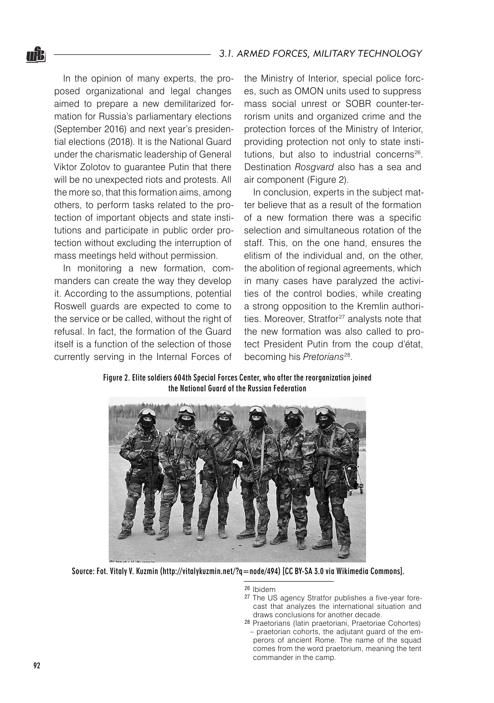In the opinion of many experts, the proposed organizational and legal changes aimed to prepare a new demilitarized formation for Russia's parliamentary elections (September 2016) and next year's presidential elections (2018). It is the National Guard under the charismatic leadership of General Viktor Zolotov to guarantee Putin that there will be no unexpected riots and protests. All the more so, that this formation aims, among others, to perform tasks related to the protection of important objects and state institutions and participate in public order protection without excluding the interruption of mass meetings held without permission.

In monitoring a new formation, commanders can create the way they develop it. According to the assumptions, potential Roswell guards are expected to come to the service or be called, without the right of refusal. In fact, the formation of the Guard itself is a function of the selection of those currently serving in the Internal Forces of

the Ministry of Interior, special police forces, such as OMON units used to suppress mass social unrest or SOBR counter-terrorism units and organized crime and the protection forces of the Ministry of Interior, providing protection not only to state institutions, but also to industrial concerns<sup>26</sup>. Destination *Rosgvard* also has a sea and air component (Figure 2).

In conclusion, experts in the subject matter believe that as a result of the formation of a new formation there was a specific selection and simultaneous rotation of the staff. This, on the one hand, ensures the elitism of the individual and, on the other, the abolition of regional agreements, which in many cases have paralyzed the activities of the control bodies, while creating a strong opposition to the Kremlin authorities. Moreover, Stratfor<sup>27</sup> analysts note that the new formation was also called to protect President Putin from the coup d'état, becoming his *Pretorians*28.

Figure 2. Elite soldiers 604th Special Forces Center, who after the reorganization joined the National Guard of the Russian Federation



Source: Fot. Vitaly V. Kuzmin (http://vitalykuzmin.net/?q=node/494) [CC BY-SA 3.0 via Wikimedia Commons].

<sup>26</sup> Ibidem

- <sup>27</sup> The US agency Stratfor publishes a five-year forecast that analyzes the international situation and draws conclusions for another decade.
- <sup>28</sup> Praetorians (latin praetoriani, Praetoriae Cohortes) – praetorian cohorts, the adjutant guard of the emperors of ancient Rome. The name of the squad comes from the word praetorium, meaning the tent commander in the camp.

nŜ.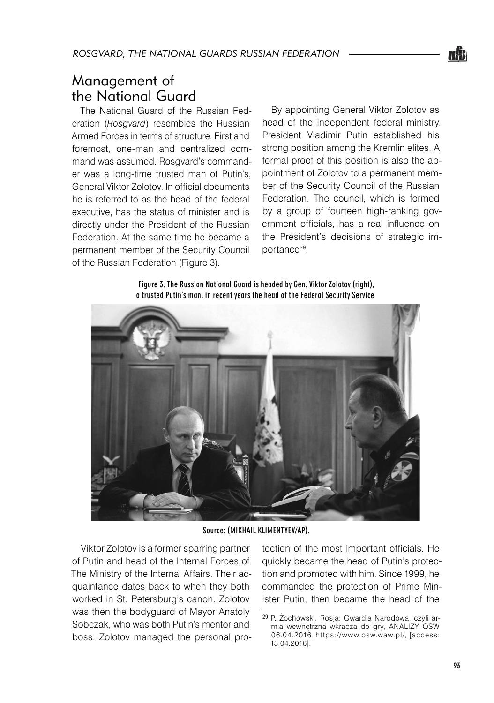# Management of the National Guard

The National Guard of the Russian Federation (*Rosgvard*) resembles the Russian Armed Forces in terms of structure. First and foremost, one-man and centralized command was assumed. Rosgvard's commander was a long-time trusted man of Putin's, General Viktor Zolotov. In official documents he is referred to as the head of the federal executive, has the status of minister and is directly under the President of the Russian Federation. At the same time he became a permanent member of the Security Council of the Russian Federation (Figure 3).

By appointing General Viktor Zolotov as head of the independent federal ministry, President Vladimir Putin established his strong position among the Kremlin elites. A formal proof of this position is also the appointment of Zolotov to a permanent member of the Security Council of the Russian Federation. The council, which is formed by a group of fourteen high-ranking government officials, has a real influence on the President's decisions of strategic importance29.

Figure 3. The Russian National Guard is headed by Gen. Viktor Zolotov (right), a trusted Putin's man, in recent years the head of the Federal Security Service



Source: (MIKHAIL KLIMENTYEV/AP).

Viktor Zolotov is a former sparring partner of Putin and head of the Internal Forces of The Ministry of the Internal Affairs. Their acquaintance dates back to when they both worked in St. Petersburg's canon. Zolotov was then the bodyguard of Mayor Anatoly Sobczak, who was both Putin's mentor and boss. Zolotov managed the personal protection of the most important officials. He quickly became the head of Putin's protection and promoted with him. Since 1999, he commanded the protection of Prime Minister Putin, then became the head of the

TEB

<sup>29</sup> P. Żochowski, Rosja: Gwardia Narodowa, czyli armia wewnętrzna wkracza do gry, ANALIZY OSW 06.04.2016, https://www.osw.waw.pl/, [access: 13.04.2016].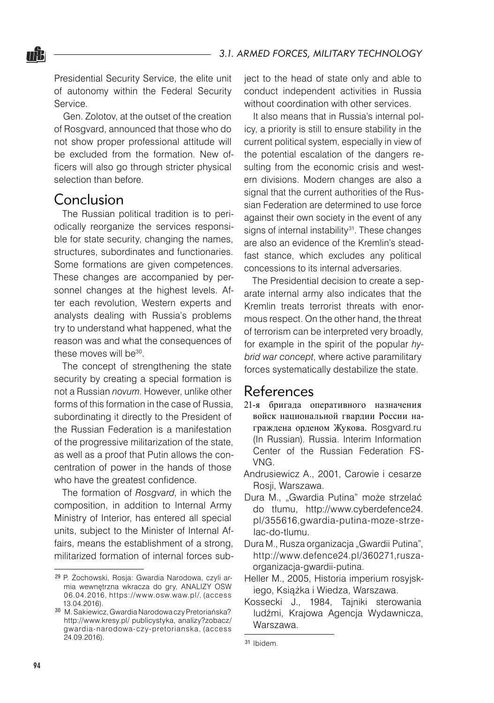<u>nâa</u>

Presidential Security Service, the elite unit of autonomy within the Federal Security Service.

Gen. Zolotov, at the outset of the creation of Rosgvard, announced that those who do not show proper professional attitude will be excluded from the formation. New officers will also go through stricter physical selection than before.

## Conclusion

The Russian political tradition is to periodically reorganize the services responsible for state security, changing the names, structures, subordinates and functionaries. Some formations are given competences. These changes are accompanied by personnel changes at the highest levels. After each revolution, Western experts and analysts dealing with Russia's problems try to understand what happened, what the reason was and what the consequences of these moves will be<sup>30</sup>.

The concept of strengthening the state security by creating a special formation is not a Russian *novum*. However, unlike other forms of this formation in the case of Russia, subordinating it directly to the President of the Russian Federation is a manifestation of the progressive militarization of the state, as well as a proof that Putin allows the concentration of power in the hands of those who have the greatest confidence.

The formation of *Rosgvard*, in which the composition, in addition to Internal Army Ministry of Interior, has entered all special units, subject to the Minister of Internal Affairs, means the establishment of a strong, militarized formation of internal forces subject to the head of state only and able to conduct independent activities in Russia without coordination with other services.

It also means that in Russia's internal policy, a priority is still to ensure stability in the current political system, especially in view of the potential escalation of the dangers resulting from the economic crisis and western divisions. Modern changes are also a signal that the current authorities of the Russian Federation are determined to use force against their own society in the event of any signs of internal instability<sup>31</sup>. These changes are also an evidence of the Kremlin's steadfast stance, which excludes any political concessions to its internal adversaries.

The Presidential decision to create a separate internal army also indicates that the Kremlin treats terrorist threats with enormous respect. On the other hand, the threat of terrorism can be interpreted very broadly, for example in the spirit of the popular *hybrid war concept*, where active paramilitary forces systematically destabilize the state.

## References

- 21-я бригада оперативного назначения войск национальной гвардии России награждена орденом Жукова. Rosgvard.ru (In Russian). Russia. Interim Information Center of the Russian Federation FS-VNG.
- Andrusiewicz A., 2001, Carowie i cesarze Rosji, Warszawa.
- Dura M., "Gwardia Putina" może strzelać do tłumu, http://www.cyberdefence24. pl/355616,gwardia-putina-moze-strzelac-do-tlumu.
- Dura M., Rusza organizacja "Gwardii Putina", http://www.defence24.pl/360271,ruszaorganizacja-gwardii-putina.
- Heller M., 2005, Historia imperium rosyjskiego, Książka i Wiedza, Warszawa.
- Kossecki J., 1984, Tajniki sterowania ludźmi, Krajowa Agencja Wydawnicza, Warszawa.

<sup>29</sup> P. Żochowski, Rosja: Gwardia Narodowa, czyli armia wewnętrzna wkracza do gry, ANALIZY OSW 06.04.2016, https://www.osw.waw.pl/, (access 13.04.2016).

<sup>30</sup> M. Sakiewicz, Gwardia Narodowa czy Pretoriańska? http://www.kresy.pl/ publicystyka, analizy?zobacz/ gwardia-narodowa-czy-pretorianska, (access 24.09.2016).

<sup>31</sup> Ibidem.